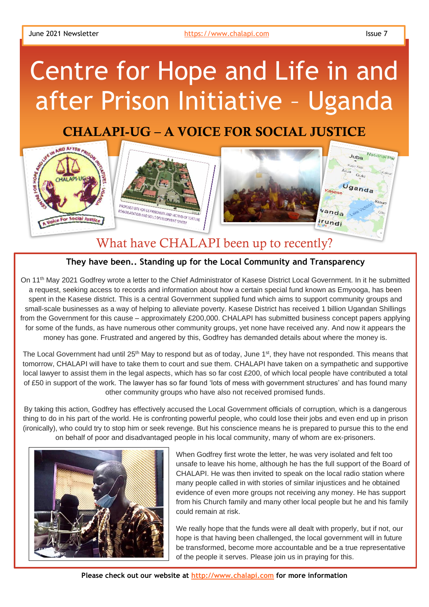## Centre for Hope and Life in and after Prison Initiative – Uganda

## CHALAPI-UG – A VOICE FOR SOCIAL JUSTICE



## What have CHALAPI been up to recently?

## **They have been.. Standing up for the Local Community and Transparency**

On 11th May 2021 Godfrey wrote a letter to the Chief Administrator of Kasese District Local Government. In it he submitted a request, seeking access to records and information about how a certain special fund known as Emyooga, has been spent in the Kasese district. This is a central Government supplied fund which aims to support community groups and small-scale businesses as a way of helping to alleviate poverty. Kasese District has received 1 billion Ugandan Shillings from the Government for this cause – approximately £200,000. CHALAPI has submitted business concept papers applying for some of the funds, as have numerous other community groups, yet none have received any. And now it appears the money has gone. Frustrated and angered by this, Godfrey has demanded details about where the money is.

The Local Government had until 25<sup>th</sup> May to respond but as of today, June 1<sup>st</sup>, they have not responded. This means that tomorrow, CHALAPI will have to take them to court and sue them. CHALAPI have taken on a sympathetic and supportive local lawyer to assist them in the legal aspects, which has so far cost £200, of which local people have contributed a total of £50 in support of the work. The lawyer has so far found 'lots of mess with government structures' and has found many other community groups who have also not received promised funds.

By taking this action, Godfrey has effectively accused the Local Government officials of corruption, which is a dangerous thing to do in his part of the world. He is confronting powerful people, who could lose their jobs and even end up in prison (ironically), who could try to stop him or seek revenge. But his conscience means he is prepared to pursue this to the end on behalf of poor and disadvantaged people in his local community, many of whom are ex-prisoners.



When Godfrey first wrote the letter, he was very isolated and felt too unsafe to leave his home, although he has the full support of the Board of CHALAPI. He was then invited to speak on the local radio station where many people called in with stories of similar injustices and he obtained evidence of even more groups not receiving any money. He has support from his Church family and many other local people but he and his family could remain at risk.

We really hope that the funds were all dealt with properly, but if not, our hope is that having been challenged, the local government will in future be transformed, become more accountable and be a true representative of the people it serves. Please join us in praying for this.